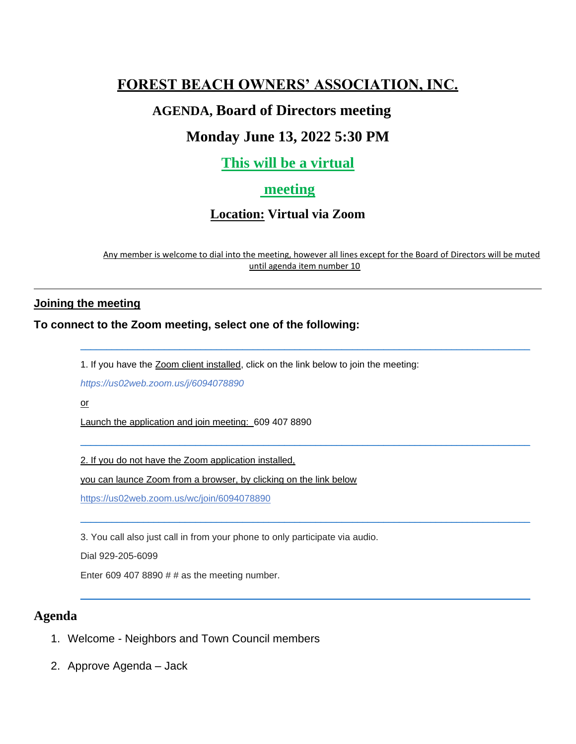# **FOREST BEACH OWNERS' ASSOCIATION, INC.**

## **AGENDA, Board of Directors meeting**

# **Monday June 13, 2022 5:30 PM**

# **This will be a virtual**

## **meeting**

## **Location: Virtual via Zoom**

Any member is welcome to dial into the meeting, however all lines except for the Board of Directors will be muted until agenda item number 10

\_\_\_\_\_\_\_\_\_\_\_\_\_\_\_\_\_\_\_\_\_\_\_\_\_\_\_\_\_\_\_\_\_\_\_\_\_\_\_\_\_\_\_\_\_\_\_\_\_\_\_\_\_\_\_\_\_\_\_\_\_\_\_\_\_\_\_\_\_\_\_\_\_\_\_\_\_\_\_\_\_\_\_\_\_\_

\_\_\_\_\_\_\_\_\_\_\_\_\_\_\_\_\_\_\_\_\_\_\_\_\_\_\_\_\_\_\_\_\_\_\_\_\_\_\_\_\_\_\_\_\_\_\_\_\_\_\_\_\_\_\_\_\_\_\_\_\_\_\_\_\_\_\_\_\_\_\_\_\_\_\_\_\_\_\_\_\_\_\_\_\_\_

\_\_\_\_\_\_\_\_\_\_\_\_\_\_\_\_\_\_\_\_\_\_\_\_\_\_\_\_\_\_\_\_\_\_\_\_\_\_\_\_\_\_\_\_\_\_\_\_\_\_\_\_\_\_\_\_\_\_\_\_\_\_\_\_\_\_\_\_\_\_\_\_\_\_\_\_\_\_\_\_\_\_\_\_\_\_

\_\_\_\_\_\_\_\_\_\_\_\_\_\_\_\_\_\_\_\_\_\_\_\_\_\_\_\_\_\_\_\_\_\_\_\_\_\_\_\_\_\_\_\_\_\_\_\_\_\_\_\_\_\_\_\_\_\_\_\_\_\_\_\_\_\_\_\_\_\_\_\_\_\_\_\_\_\_\_\_\_\_\_\_\_\_

### **Joining the meeting**

## **To connect to the Zoom meeting, select one of the following:**

1. If you have the Zoom client installed, click on the link below to join the meeting:

*<https://us02web.zoom.us/j/6094078890>*

or

Launch the application and join meeting: 609 407 8890

2. If you do not have the Zoom application installed,

you can launce Zoom from a browser, by clicking on the link below

<https://us02web.zoom.us/wc/join/6094078890>

3. You call also just call in from your phone to only participate via audio.

Dial 929-205-6099

Enter 609 407 8890  $#$   $#$  as the meeting number.

## **Agenda**

- 1. Welcome Neighbors and Town Council members
- 2. Approve Agenda Jack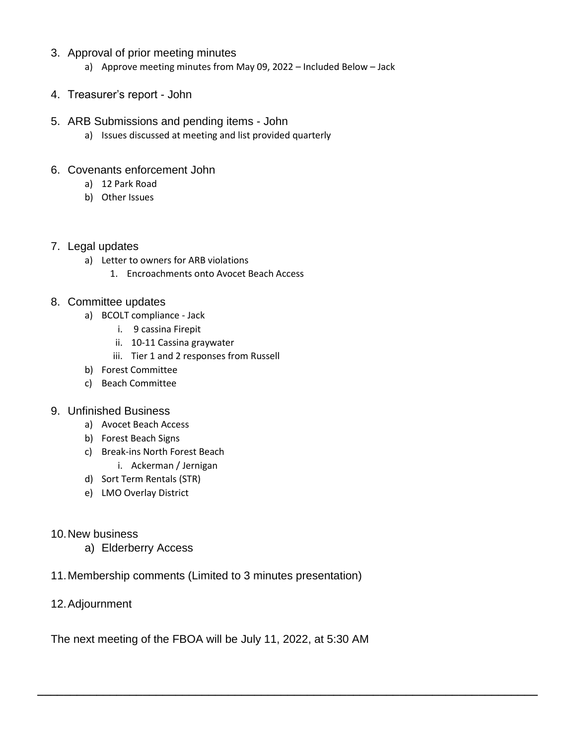### 3. Approval of prior meeting minutes

- a) Approve meeting minutes from May 09, 2022 Included Below Jack
- 4. Treasurer's report John

### 5. ARB Submissions and pending items - John

a) Issues discussed at meeting and list provided quarterly

### 6. Covenants enforcement John

- a) 12 Park Road
- b) Other Issues

### 7. Legal updates

- a) Letter to owners for ARB violations
	- 1. Encroachments onto Avocet Beach Access

### 8. Committee updates

- a) BCOLT compliance Jack
	- i. 9 cassina Firepit
	- ii. 10-11 Cassina graywater
	- iii. Tier 1 and 2 responses from Russell
- b) Forest Committee
- c) Beach Committee

## 9. Unfinished Business

- a) Avocet Beach Access
- b) Forest Beach Signs
- c) Break-ins North Forest Beach
	- i. Ackerman / Jernigan
- d) Sort Term Rentals (STR)
- e) LMO Overlay District

## 10.New business

- a) Elderberry Access
- 11.Membership comments (Limited to 3 minutes presentation)
- 12.Adjournment

The next meeting of the FBOA will be July 11, 2022, at 5:30 AM

**\_\_\_\_\_\_\_\_\_\_\_\_\_\_\_\_\_\_\_\_\_\_\_\_\_\_\_\_\_\_\_\_\_\_\_\_\_\_\_\_\_\_\_\_\_\_\_\_\_\_\_\_\_\_\_\_\_\_\_\_\_\_\_\_\_\_\_\_\_\_\_\_\_\_\_\_**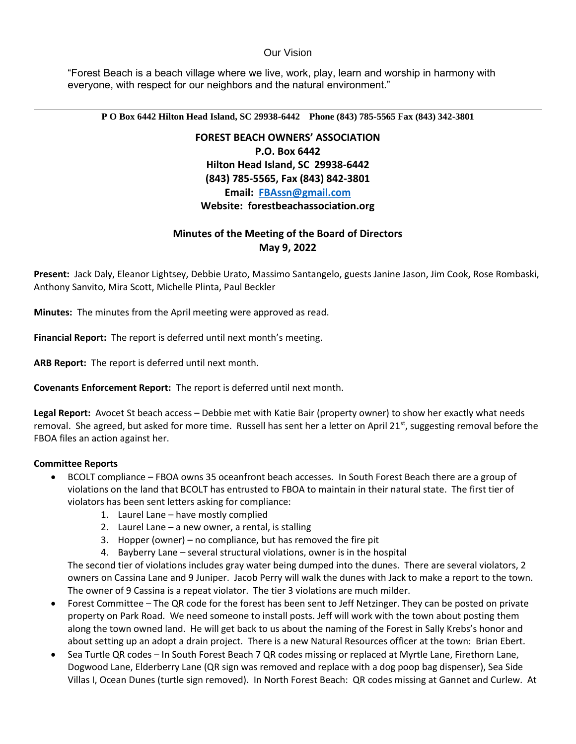#### Our Vision

"Forest Beach is a beach village where we live, work, play, learn and worship in harmony with everyone, with respect for our neighbors and the natural environment."

**P O Box 6442 Hilton Head Island, SC 29938-6442 Phone (843) 785-5565 Fax (843) 342-3801**

**FOREST BEACH OWNERS' ASSOCIATION P.O. Box 6442 Hilton Head Island, SC 29938-6442 (843) 785-5565, Fax (843) 842-3801 Email: [FBAssn@gmail.com](mailto:FBAssn@gmail.com) Website: forestbeachassociation.org**

### **Minutes of the Meeting of the Board of Directors May 9, 2022**

**Present:** Jack Daly, Eleanor Lightsey, Debbie Urato, Massimo Santangelo, guests Janine Jason, Jim Cook, Rose Rombaski, Anthony Sanvito, Mira Scott, Michelle Plinta, Paul Beckler

**Minutes:** The minutes from the April meeting were approved as read.

**Financial Report:** The report is deferred until next month's meeting.

**ARB Report:** The report is deferred until next month.

**Covenants Enforcement Report:** The report is deferred until next month.

**Legal Report:** Avocet St beach access – Debbie met with Katie Bair (property owner) to show her exactly what needs removal. She agreed, but asked for more time. Russell has sent her a letter on April  $21^{st}$ , suggesting removal before the FBOA files an action against her.

#### **Committee Reports**

- BCOLT compliance FBOA owns 35 oceanfront beach accesses. In South Forest Beach there are a group of violations on the land that BCOLT has entrusted to FBOA to maintain in their natural state. The first tier of violators has been sent letters asking for compliance:
	- 1. Laurel Lane have mostly complied
	- 2. Laurel Lane a new owner, a rental, is stalling
	- 3. Hopper (owner) no compliance, but has removed the fire pit
	- 4. Bayberry Lane several structural violations, owner is in the hospital

The second tier of violations includes gray water being dumped into the dunes. There are several violators, 2 owners on Cassina Lane and 9 Juniper. Jacob Perry will walk the dunes with Jack to make a report to the town. The owner of 9 Cassina is a repeat violator. The tier 3 violations are much milder.

- Forest Committee The QR code for the forest has been sent to Jeff Netzinger. They can be posted on private property on Park Road. We need someone to install posts. Jeff will work with the town about posting them along the town owned land. He will get back to us about the naming of the Forest in Sally Krebs's honor and about setting up an adopt a drain project. There is a new Natural Resources officer at the town: Brian Ebert.
- Sea Turtle QR codes In South Forest Beach 7 QR codes missing or replaced at Myrtle Lane, Firethorn Lane, Dogwood Lane, Elderberry Lane (QR sign was removed and replace with a dog poop bag dispenser), Sea Side Villas I, Ocean Dunes (turtle sign removed). In North Forest Beach: QR codes missing at Gannet and Curlew. At